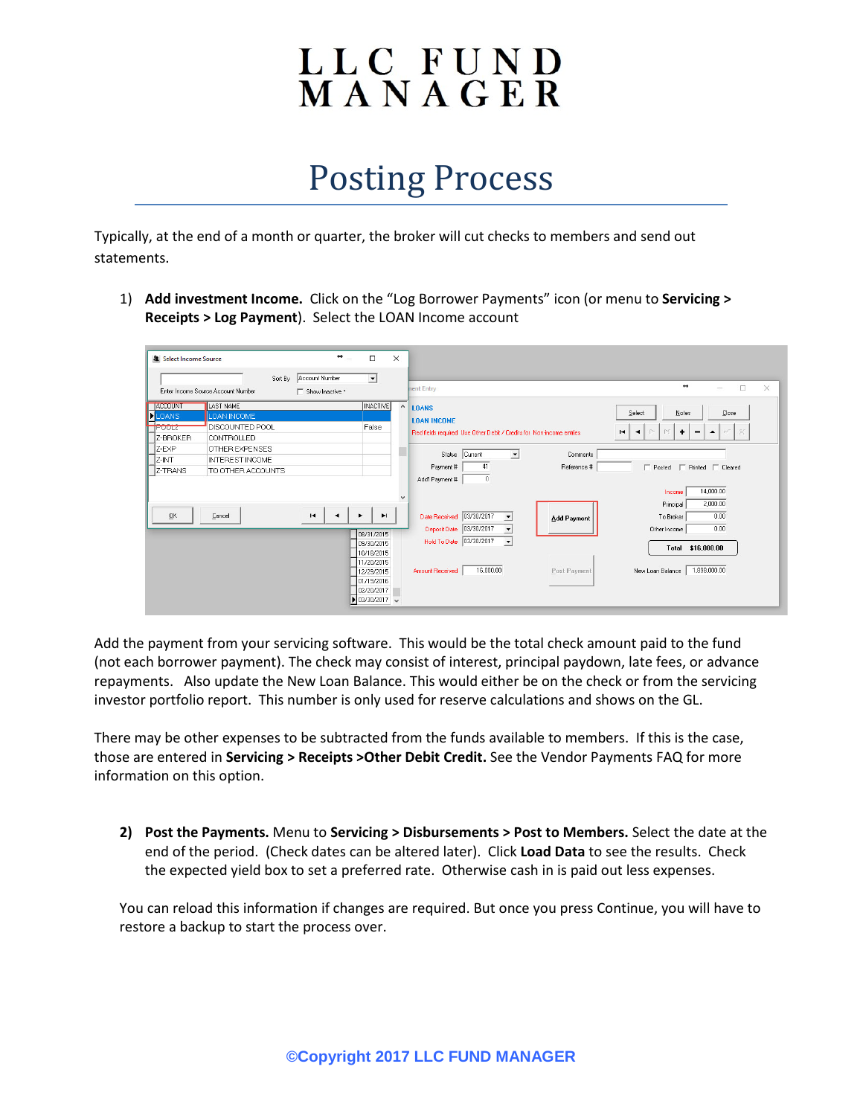## LLC FUND<br>MANAGER

## Posting Process

Typically, at the end of a month or quarter, the broker will cut checks to members and send out statements.

1) **Add investment Income.** Click on the "Log Borrower Payments" icon (or menu to **Servicing > Receipts > Log Payment**). Select the LOAN Income account

| ᅬ<br>Sort By Account Number<br>$\leftrightarrow$<br>$\Box$<br>nent Entry<br>$\sim$<br>Enter Income Source Account Number<br>□ Show Inactive *<br>LAST NAME<br>INACTIVE<br><b>JACCOUNT</b><br>$\wedge$<br><b>LOANS</b><br>Select<br>Notes<br>Close<br><b>D</b> LOANS<br>LOAN INCOME<br><b>LOAN INCOME</b><br>Ħ<br>DISCOUNTED POOL<br>False<br><b>IFUULZ</b><br>M<br>٠<br>P-<br>$\blacksquare$<br>Red fields required, Use Other Debit / Credits for Non-income entries<br>٠<br>$\blacktriangle$<br>-<br>Z-BROKER<br>CONTROLLED<br>Z-EXP<br>OTHER EXPENSES<br>Status Current<br>$\overline{ }$<br>Comments<br>Z-INT<br><b>INTEREST INCOME</b><br>41<br>Payment #<br>Reference #<br>F Posted F Printed F Cleared<br>Z-TRANS<br>TO OTHER ACCOUNTS<br>Add'l Payment #<br>$\cup$<br>14,000.00<br>Income<br>$\checkmark$<br>2,000.00<br>Principal<br>QK<br>Date Received 03/30/2017<br>$\blacksquare$<br>Cancel<br>0.00<br>$\blacktriangleright$<br>To Broker<br><b>Add Payment</b><br>Deposit Date 03/30/2017<br>0.00<br>Other Income<br>$\blacktriangledown$<br>08/31/2015<br>Hold To Date 03/30/2017<br>$\vert \cdot \vert$<br>09/30/2015<br>Total \$16,000.00<br>10/18/2015<br>11/20/2015<br>Amount Received | <b>&amp;</b> Select Income Source | $\leftrightarrow$ | $\Box$     | $\times$ |                           |                                  |
|-----------------------------------------------------------------------------------------------------------------------------------------------------------------------------------------------------------------------------------------------------------------------------------------------------------------------------------------------------------------------------------------------------------------------------------------------------------------------------------------------------------------------------------------------------------------------------------------------------------------------------------------------------------------------------------------------------------------------------------------------------------------------------------------------------------------------------------------------------------------------------------------------------------------------------------------------------------------------------------------------------------------------------------------------------------------------------------------------------------------------------------------------------------------------------------------------------------|-----------------------------------|-------------------|------------|----------|---------------------------|----------------------------------|
| $\times$                                                                                                                                                                                                                                                                                                                                                                                                                                                                                                                                                                                                                                                                                                                                                                                                                                                                                                                                                                                                                                                                                                                                                                                                  |                                   |                   |            |          |                           |                                  |
|                                                                                                                                                                                                                                                                                                                                                                                                                                                                                                                                                                                                                                                                                                                                                                                                                                                                                                                                                                                                                                                                                                                                                                                                           |                                   |                   |            |          |                           |                                  |
|                                                                                                                                                                                                                                                                                                                                                                                                                                                                                                                                                                                                                                                                                                                                                                                                                                                                                                                                                                                                                                                                                                                                                                                                           |                                   |                   |            |          |                           |                                  |
|                                                                                                                                                                                                                                                                                                                                                                                                                                                                                                                                                                                                                                                                                                                                                                                                                                                                                                                                                                                                                                                                                                                                                                                                           |                                   |                   |            |          |                           |                                  |
|                                                                                                                                                                                                                                                                                                                                                                                                                                                                                                                                                                                                                                                                                                                                                                                                                                                                                                                                                                                                                                                                                                                                                                                                           |                                   |                   | 12/29/2015 |          | 16,000.00<br>Post Payment | 1,898,000.00<br>New Loan Balance |

Add the payment from your servicing software. This would be the total check amount paid to the fund (not each borrower payment). The check may consist of interest, principal paydown, late fees, or advance repayments. Also update the New Loan Balance. This would either be on the check or from the servicing investor portfolio report. This number is only used for reserve calculations and shows on the GL.

There may be other expenses to be subtracted from the funds available to members. If this is the case, those are entered in **Servicing > Receipts >Other Debit Credit.** See the Vendor Payments FAQ for more information on this option.

**2) Post the Payments.** Menu to **Servicing > Disbursements > Post to Members.** Select the date at the end of the period. (Check dates can be altered later). Click **Load Data** to see the results. Check the expected yield box to set a preferred rate. Otherwise cash in is paid out less expenses.

You can reload this information if changes are required. But once you press Continue, you will have to restore a backup to start the process over.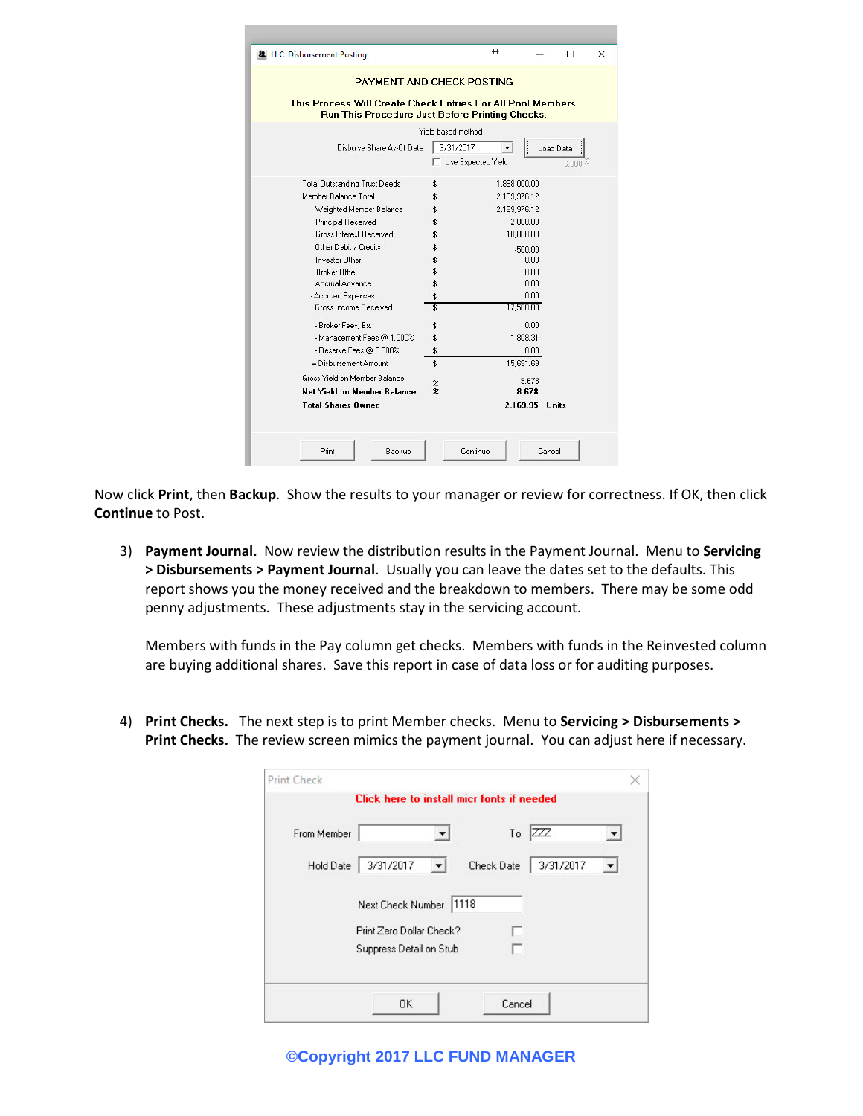| <b>PAYMENT AND CHECK POSTING</b>                                                                                       |                                 |                |                     |
|------------------------------------------------------------------------------------------------------------------------|---------------------------------|----------------|---------------------|
| This Process Will Create Check Entries For All Pool Members.<br><b>Run This Procedure Just Before Printing Checks.</b> |                                 |                |                     |
|                                                                                                                        | Yield based method              |                |                     |
| Disburse Share As-Of Date                                                                                              | 3/31/2017<br>Use Expected Yield | ▼              | Load Data<br>6.000% |
| <b>Total Outstanding Trust Deeds</b>                                                                                   | \$                              | 1,898,000.00   |                     |
| Member Balance Total                                                                                                   | \$                              | 2,169,976.12   |                     |
| Weighted Member Balance                                                                                                | \$                              | 2.169.976.12   |                     |
| Principal Received                                                                                                     | \$                              | 2,000.00       |                     |
| <b>Gross Interest Received</b>                                                                                         | \$                              | 18,000.00      |                     |
| Other Debit / Credits                                                                                                  | \$                              | $-500.00$      |                     |
| Investor Other                                                                                                         | \$                              | 0.00           |                     |
| <b>Broker Other</b>                                                                                                    | \$                              | 0.00           |                     |
| Accrual Advance                                                                                                        | \$                              | 0.00           |                     |
| - Accrued Expenses                                                                                                     | \$                              | 0.00           |                     |
| Gross Income Received                                                                                                  | \$                              | 17,500.00      |                     |
| - Broker Fees, Ex.                                                                                                     | \$                              | 0.00           |                     |
| - Management Fees @ 1.000%                                                                                             | \$                              | 1,808.31       |                     |
| - Reserve Fees @ 0.000%                                                                                                | \$                              | 0.00           |                     |
| = Disbursement Amount                                                                                                  | \$                              | 15,691.69      |                     |
| Gross Yield on Member Balance<br><b>Net Yield on Member Balance</b>                                                    | $\%$<br>$\boldsymbol{z}$        | 9.678<br>8.678 |                     |
| <b>Total Shares Owned</b>                                                                                              |                                 | 2.169.95 Units |                     |

Now click **Print**, then **Backup**. Show the results to your manager or review for correctness. If OK, then click **Continue** to Post.

3) **Payment Journal.** Now review the distribution results in the Payment Journal. Menu to **Servicing > Disbursements > Payment Journal**. Usually you can leave the dates set to the defaults. This report shows you the money received and the breakdown to members. There may be some odd penny adjustments. These adjustments stay in the servicing account.

Members with funds in the Pay column get checks. Members with funds in the Reinvested column are buying additional shares. Save this report in case of data loss or for auditing purposes.

4) **Print Checks.** The next step is to print Member checks. Menu to **Servicing > Disbursements > Print Checks.** The review screen mimics the payment journal. You can adjust here if necessary.

| <b>Print Check</b> |                                            |            |           |  |
|--------------------|--------------------------------------------|------------|-----------|--|
|                    | Click here to install micr fonts if needed |            |           |  |
| From Member        |                                            | To $ZZZ$   |           |  |
| Hold Date          | 3/31/2017<br>▼                             | Check Date | 3/31/2017 |  |
|                    | 1118<br>Next Check Number                  |            |           |  |
|                    | Print Zero Dollar Check?                   |            |           |  |
|                    | Suppress Detail on Stub                    |            |           |  |
|                    | 0K                                         | Cancel     |           |  |

**©Copyright 2017 LLC FUND MANAGER**